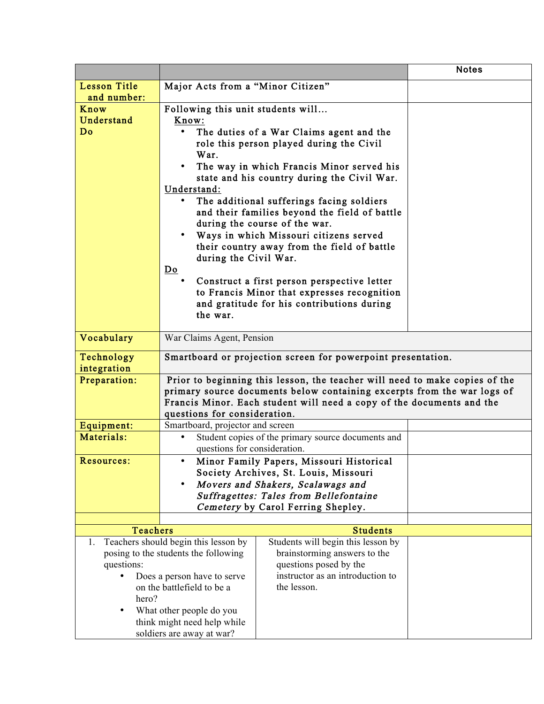|                                       |                                                                             |                                                                         | <b>Notes</b> |
|---------------------------------------|-----------------------------------------------------------------------------|-------------------------------------------------------------------------|--------------|
| <b>Lesson Title</b>                   | Major Acts from a "Minor Citizen"                                           |                                                                         |              |
| and number:                           |                                                                             |                                                                         |              |
| Know                                  | Following this unit students will                                           |                                                                         |              |
| Understand                            | Know:                                                                       |                                                                         |              |
| Do                                    | The duties of a War Claims agent and the                                    |                                                                         |              |
|                                       |                                                                             | role this person played during the Civil                                |              |
|                                       | War.                                                                        |                                                                         |              |
|                                       |                                                                             | The way in which Francis Minor served his                               |              |
|                                       |                                                                             | state and his country during the Civil War.                             |              |
|                                       | Understand:                                                                 |                                                                         |              |
|                                       |                                                                             | The additional sufferings facing soldiers                               |              |
|                                       |                                                                             | and their families beyond the field of battle                           |              |
|                                       | during the course of the war.                                               |                                                                         |              |
|                                       |                                                                             | Ways in which Missouri citizens served                                  |              |
|                                       |                                                                             | their country away from the field of battle                             |              |
|                                       | during the Civil War.                                                       |                                                                         |              |
|                                       | $D_{\Omega}$                                                                |                                                                         |              |
|                                       |                                                                             | Construct a first person perspective letter                             |              |
|                                       |                                                                             | to Francis Minor that expresses recognition                             |              |
|                                       |                                                                             | and gratitude for his contributions during                              |              |
|                                       | the war.                                                                    |                                                                         |              |
|                                       |                                                                             |                                                                         |              |
| Vocabulary                            | War Claims Agent, Pension                                                   |                                                                         |              |
| Technology                            | Smartboard or projection screen for powerpoint presentation.                |                                                                         |              |
| integration                           |                                                                             |                                                                         |              |
| Preparation:                          | Prior to beginning this lesson, the teacher will need to make copies of the |                                                                         |              |
|                                       |                                                                             | primary source documents below containing excerpts from the war logs of |              |
|                                       | Francis Minor. Each student will need a copy of the documents and the       |                                                                         |              |
|                                       | questions for consideration.                                                |                                                                         |              |
| Equipment:                            | Smartboard, projector and screen                                            |                                                                         |              |
| Materials:                            | $\bullet$                                                                   | Student copies of the primary source documents and                      |              |
|                                       | questions for consideration.                                                |                                                                         |              |
| Resources:                            |                                                                             | Minor Family Papers, Missouri Historical                                |              |
|                                       |                                                                             | Society Archives, St. Louis, Missouri                                   |              |
|                                       |                                                                             | Movers and Shakers, Scalawags and                                       |              |
|                                       |                                                                             | <b>Suffragettes: Tales from Bellefontaine</b>                           |              |
|                                       |                                                                             | Cemetery by Carol Ferring Shepley.                                      |              |
|                                       |                                                                             |                                                                         |              |
| <b>Teachers</b>                       |                                                                             | <b>Students</b>                                                         |              |
| 1.                                    | Teachers should begin this lesson by                                        | Students will begin this lesson by                                      |              |
|                                       | posing to the students the following                                        | brainstorming answers to the                                            |              |
| questions:                            |                                                                             | questions posed by the                                                  |              |
| Does a person have to serve           |                                                                             | instructor as an introduction to                                        |              |
| on the battlefield to be a            |                                                                             | the lesson.                                                             |              |
| hero?                                 |                                                                             |                                                                         |              |
| What other people do you<br>$\bullet$ |                                                                             |                                                                         |              |
| think might need help while           |                                                                             |                                                                         |              |
| soldiers are away at war?             |                                                                             |                                                                         |              |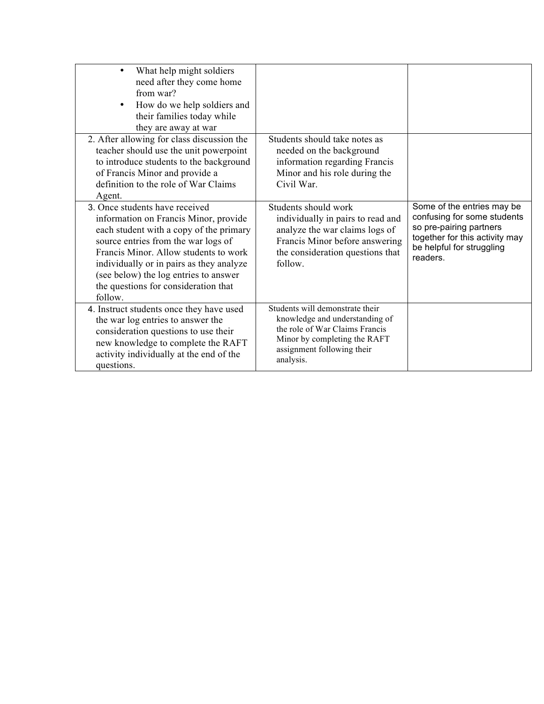| What help might soldiers<br>$\bullet$<br>need after they come home<br>from war?<br>How do we help soldiers and<br>their families today while<br>they are away at war                                                                                                                                                                       |                                                                                                                                                                                |                                                                                                                                                                 |
|--------------------------------------------------------------------------------------------------------------------------------------------------------------------------------------------------------------------------------------------------------------------------------------------------------------------------------------------|--------------------------------------------------------------------------------------------------------------------------------------------------------------------------------|-----------------------------------------------------------------------------------------------------------------------------------------------------------------|
| 2. After allowing for class discussion the<br>teacher should use the unit powerpoint<br>to introduce students to the background<br>of Francis Minor and provide a<br>definition to the role of War Claims<br>Agent.                                                                                                                        | Students should take notes as<br>needed on the background<br>information regarding Francis<br>Minor and his role during the<br>Civil War.                                      |                                                                                                                                                                 |
| 3. Once students have received<br>information on Francis Minor, provide<br>each student with a copy of the primary<br>source entries from the war logs of<br>Francis Minor. Allow students to work<br>individually or in pairs as they analyze<br>(see below) the log entries to answer<br>the questions for consideration that<br>follow. | Students should work<br>individually in pairs to read and<br>analyze the war claims logs of<br>Francis Minor before answering<br>the consideration questions that<br>follow.   | Some of the entries may be<br>confusing for some students<br>so pre-pairing partners<br>together for this activity may<br>be helpful for struggling<br>readers. |
| 4. Instruct students once they have used<br>the war log entries to answer the<br>consideration questions to use their<br>new knowledge to complete the RAFT<br>activity individually at the end of the<br>questions.                                                                                                                       | Students will demonstrate their<br>knowledge and understanding of<br>the role of War Claims Francis<br>Minor by completing the RAFT<br>assignment following their<br>analysis. |                                                                                                                                                                 |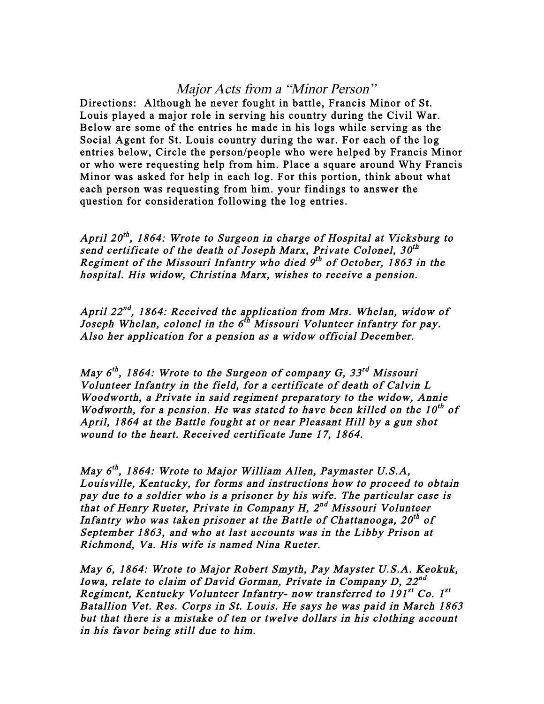## Major Acts from a "Minor Person"

Directions: Although he never fought in battle, Francis Minor of St. Louis played a major role in serving his country during the Civil War. Below are some of the entries he made in his logs while serving as the Social Agent for St. Louis country during the war. For each of the log entries below, Circle the person/people who were helped by Francis Minor or who were requesting help from him. Place a square around Why Francis Minor was asked for help in each log. For this portion, think about what each person was requesting from him. your findings to answer the question for consideration following the log entries.

April 20<sup>th</sup>, 1864: Wrote to Surgeon in charge of Hospital at Vicksburg to send certificate of the death of Joseph Marx, Private Colonel,  $30<sup>th</sup>$ Regiment of the Missouri Infantry who died  $9<sup>th</sup>$  of October, 1863 in the hospital. His widow, Christina Marx, wishes to receive a pension.

April  $22^{nd}$ , 1864: Received the application from Mrs. Whelan, widow of Joseph Whelan, colonel in the  $6^{th}$  Missouri Volunteer infantry for pay. Also her application for a pension as a widow official December.

May  $6^{th}$ , 1864: Wrote to the Surgeon of company G, 33<sup>rd</sup> Missouri Volunteer Infantry in the field, for a certificate of death of Calvin L Woodworth, a Private in said regiment preparatory to the widow, Annie Wodworth, for a pension. He was stated to have been killed on the  $10^{th}$  of April, 1864 at the Battle fought at or near Pleasant Hill by a gun shot wound to the heart. Received certificate June 17, 1864.

May  $6^{th}$ , 1864: Wrote to Major William Allen, Paymaster U.S.A, Louisville, Kentucky, for forms and instructions how to proceed to obtain pay due to a soldier who is a prisoner by his wife. The particular case is that of Henry Rueter, Private in Company H,  $2^{nd}$  Missouri Volunteer Infantry who was taken prisoner at the Battle of Chattanooga,  $20^{th}$  of September 1863, and who at last accounts was in the Libby Prison at Richmond, Va. His wife is named Nina Rueter.

May 6, 1864: Wrote to Major Robert Smyth, Pay Mayster U.S.A. Keokuk, Iowa, relate to claim of David Gorman, Private in Company D,  $22^{nd}$ Regiment, Kentucky Volunteer Infantry- now transferred to 191st Co. 1st Batallion Vet. Res. Corps in St. Louis. He says he was paid in March 1863 but that there is a mistake of ten or twelve dollars in his clothing account in his favor being still due to him.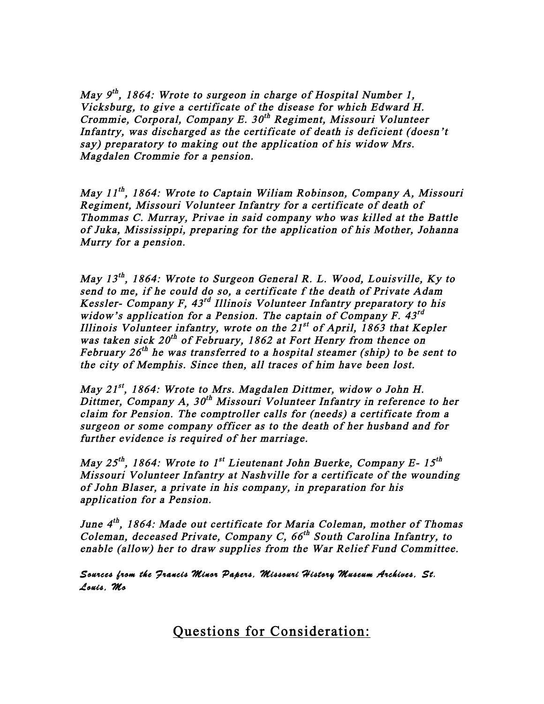May  $9^{th}$ , 1864: Wrote to surgeon in charge of Hospital Number 1, Vicksburg, to give a certificate of the disease for which Edward H. Crommie, Corporal, Company E.  $30<sup>th</sup>$  Regiment, Missouri Volunteer Infantry, was discharged as the certificate of death is deficient (doesn't say) preparatory to making out the application of his widow Mrs. Magdalen Crommie for a pension.

May  $11^{th}$ , 1864: Wrote to Captain Wiliam Robinson, Company A, Missouri Regiment, Missouri Volunteer Infantry for a certificate of death of Thommas C. Murray, Privae in said company who was killed at the Battle of Juka, Mississippi, preparing for the application of his Mother, Johanna Murry for a pension.

May  $13^{th}$ , 1864: Wrote to Surgeon General R. L. Wood, Louisville, Ky to send to me, if he could do so, a certificate f the death of Private Adam Kessler- Company F,  $43^{rd}$  Illinois Volunteer Infantry preparatory to his widow's application for a Pension. The captain of Company F.  $43^{rd}$ Illinois Volunteer infantry, wrote on the  $21^{st}$  of April, 1863 that Kepler was taken sick  $20^{th}$  of February, 1862 at Fort Henry from thence on February  $26^{th}$  he was transferred to a hospital steamer (ship) to be sent to the city of Memphis. Since then, all traces of him have been lost.

May 21<sup>st</sup>, 1864: Wrote to Mrs. Magdalen Dittmer, widow o John H. Dittmer, Company A,  $30<sup>th</sup>$  Missouri Volunteer Infantry in reference to her claim for Pension. The comptroller calls for (needs) a certificate from a surgeon or some company officer as to the death of her husband and for further evidence is required of her marriage.

May  $25^{th}$ , 1864: Wrote to 1<sup>st</sup> Lieutenant John Buerke, Company E- 15<sup>th</sup> Missouri Volunteer Infantry at Nashville for a certificate of the wounding of John Blaser, a private in his company, in preparation for his application for a Pension.

June 4<sup>th</sup>, 1864: Made out certificate for Maria Coleman, mother of Thomas Coleman, deceased Private, Company C,  $66<sup>th</sup>$  South Carolina Infantry, to enable (allow) her to draw supplies from the War Relief Fund Committee.

Sources from the Francis Minor Papers, Missouri History Museum Archives, St. Louis, Mo

Questions for Consideration: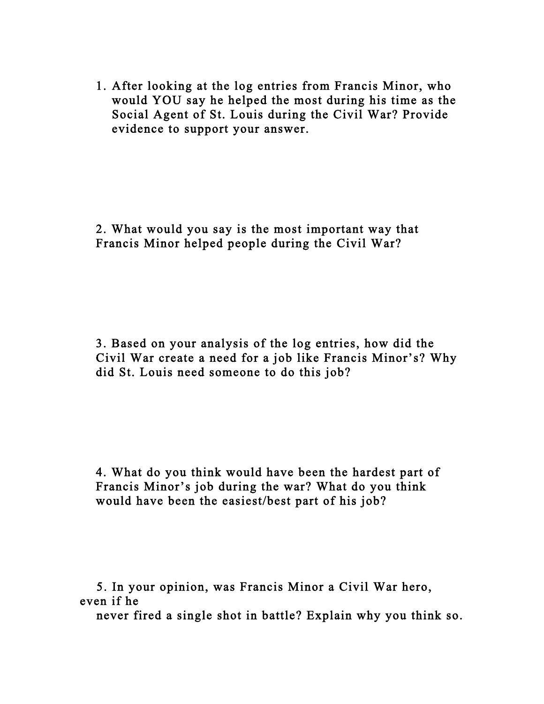1. After looking at the log entries from Francis Minor, who would YOU say he helped the most during his time as the Social Agent of St. Louis during the Civil War? Provide evidence to support your answer.

2. What would you say is the most important way that Francis Minor helped people during the Civil War?

3. Based on your analysis of the log entries, how did the Civil War create a need for a job like Francis Minor's? Why did St. Louis need someone to do this job?

4. What do you think would have been the hardest part of Francis Minor's job during the war? What do you think would have been the easiest/best part of his job?

 5. In your opinion, was Francis Minor a Civil War hero, even if he

never fired a single shot in battle? Explain why you think so.